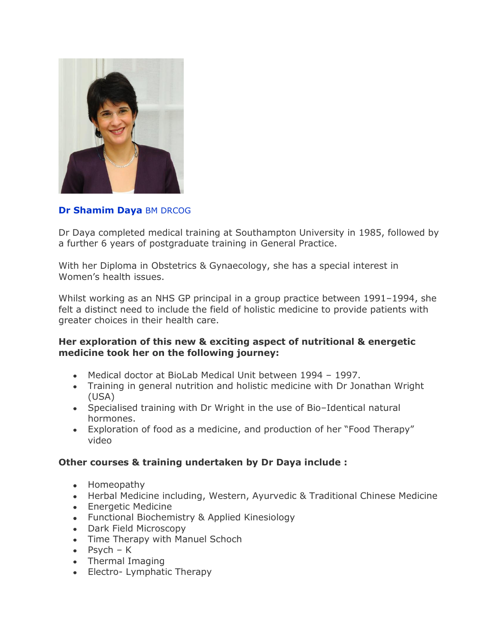

## **Dr Shamim Daya** BM DRCOG

Dr Daya completed medical training at Southampton University in 1985, followed by a further 6 years of postgraduate training in General Practice.

With her Diploma in Obstetrics & Gynaecology, she has a special interest in Women's health issues.

Whilst working as an NHS GP principal in a group practice between 1991–1994, she felt a distinct need to include the field of holistic medicine to provide patients with greater choices in their health care.

## **Her exploration of this new & exciting aspect of nutritional & energetic medicine took her on the following journey:**

- Medical doctor at BioLab Medical Unit between 1994 1997.
- Training in general nutrition and holistic medicine with Dr Jonathan Wright (USA)
- Specialised training with Dr Wright in the use of Bio–Identical natural hormones.
- Exploration of food as a medicine, and production of her "Food Therapy" video

## **Other courses & training undertaken by Dr Daya include :**

- Homeopathy
- Herbal Medicine including, Western, Ayurvedic & Traditional Chinese Medicine
- **•** Energetic Medicine
- Functional Biochemistry & Applied Kinesiology
- Dark Field Microscopy
- Time Therapy with Manuel Schoch
- $\bullet$  Psych K
- Thermal Imaging
- Electro- Lymphatic Therapy